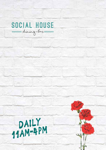

DAILY 11am 4PM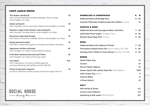## CAFÉ LUNCH MENU

| The Ruben sandwich<br>with corned silverside, braised cabbage, Swiss cheese<br>and straight cut chips     | 16   |
|-----------------------------------------------------------------------------------------------------------|------|
| Steak sandwich<br>with roquette, onion and Swiss cheese and straight cut chips                            | 18   |
| Southern style fried chicken club sandwich<br>with avocado, Smokey bacon, and straight cut chips          | 18   |
| American style beef burger<br>with bacon, American cheddar lettuce and straight cut chips                 | 19   |
| <b>Sticky beetroot salad</b><br>with farro, watercress, goats curd salad and zataar dressing              | 16   |
| Japanese chicken schnitzel<br>with straight cut chips, house salad and gravy                              | 20   |
| Craft Beer battered barramundi fillets<br>with straight cut chips, and house salad                        | 18   |
| Cos salad<br>with crisp bacon, croutons, boiled egg and<br>anchovy dressing. Add grilled chicken (\$2.00) | 16.5 |
| Forest mushroom linguine<br>zucchini, heirloom tomato, grana and extra virgin olive oil                   | 16   |

SPARKLING & CHAMPAGNE G B **DeBortoli Bancroft Bridge Brut 8 30 Grandin Methode Traditionnelle Brut 200ml**, France **14** WHITES & ROSE **DeBortoli Bancroft Sauvignon Blanc Semillon 7 29 Wild Oats Pinot Grigio Mudgee, NSW 8 36 Reverie Rose Pays d'Oc**, France **9 38** REDS **DeBortoli Bancroft Cabernet Merlot 7 29 TarraWarra Estate Pinot Noir** Yarra Valley, VIC 2016 **11 50 Hentley Farm Villain & Vixen Shiraz** Barossa, SA 2018 **9 45** BEERS **Asahi Super Dry 10 Corona 10 Peroni Nastro Azzuro 10 James Squire 150 Lashes Pale Ale** 425ml/500ml **10/12 Hahn Super Dry** 425ml **9 Victoria Bitter 8 4 Pines Kolsch 10** SOFT **Soft drinks & Juices 4.5 Lemon Lime & Bitters 4.9 Sparkling & Still water** 350ml/750ml **5/7**